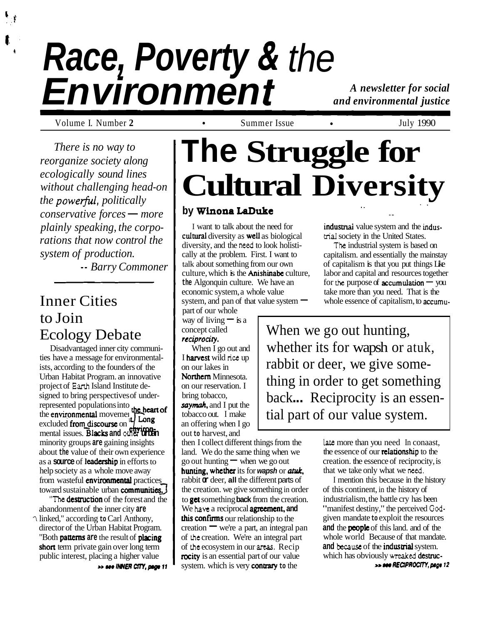# **Race, Poverty** & **Environment** the

*A newsletter for social and environmental justice* 

Volume I. Number 2 **b b 1990 c 1990 c c c summer Issue c c c f July 1990** 

*There is no way to reorganize society along ecologically sound lines without challenging head-on the powerful, politically conservative forces* — *more plainly speaking, the corporations that now control the system of production.* 

-- *Barry Commoner* 

# Inner Cities to Join Ecology Debate

Disadvantaged inner city communities have a message for environmentalists, according to the founders of the Urban Habitat Program. an innovative project of **Eanh** Island Institute designed to bring perspectives of underrepresented populations into the heart of the environmental movement  $\prod_{n=1}^{\infty}$ project of earth island institute designed to bring perspectives of under-<br>represented populations into<br>the **environmental** movement **the heart of**<br>excluded **from discourse** on  $\frac{1}{2}$  Long<br>mental issues. Blacks and othe minority groups **are** gaining insights about **the** value of their own experience as a **source** of leadership in efforts to help society as a whole move away from wasteful **environmental** practices toward sustainable urban **communities.** 

**The destruction** of the forest and the abandonment of the inner city **are**  ? linked," according **to** Carl Anthony, director of the Urban Habitat Program. "Both pattems **are** the result of piacing short term private gain over long term public interest, placing a higher value >> see INNER CITY, page 11

# **The Struggle for Cultural Diversity**

## **by Winona LaDuke** . .

I want to talk about the need for cultural diversity as well as biological diversity, and the **need** to look holistically at the problem. First. I want to talk about something from our own culture, which is the **Anishinabe** culture, **the** Algonquin culture. We have an economic system, a whole value system, and pan of that value system  $-$ 

part of our whole way of living  $-$  is a concept called **reciprociry.** 

When I go out and I harvest wild **rice** up on our lakes in Northern Minnesota. on our reservation. I bring tobacco, **saymah.** and I put the tobacco out. I make an offering when I go out **to** harvest, and

then I collect different things from the land. We do the same thing when we go out hunting  $\equiv$  when we go out hunting, whether its for wapsh or atuk, rabbit **or** deer, **all** the different parts of the creation. we give something in order to get something **back** from the creation. We **have** a reciprocal agreement. **and**  this confirms our relationship to the  $c$ reation  $\equiv$  we're a part, an integral pan of **the** creation. We're an integral part of **the** ecosystem in our **areas.** Recip rocity is an essential part of our value system. which is very contrary **to** the

industrial value system and the indus**ma1** society in the United States.

--

**The** industrial system is based on capitalism. and essentially the mainstay of capitalism is that you put things Like labor and capital and resources together or capitalism is that you put things Like<br>labor and capital and resources together<br>for the purpose of **accumulation** — you take more than you need. That is the whole essence of capitalism, to accumu-

When we go out hunting, whether its for wapsh or atuk, rabbit or deer, we give something in order to get something back... Reciprocity is an essential part of our value system.

> **late** more than you need In conaast, the essence of our **relationship** to the creation. the essence of reciprocity, is that we take only what we **need.**

I mention this because in the history of this continent, in the history of industrialism, the battle cry has been "manifest destiny," the perceived **God**given mandate **to** exploit the resources **and** the peaple of this land. and of the whole world Because of that mandate. **and because** of the indusmal system. which has obviously **wreaked** desuuc-

**www.page 12**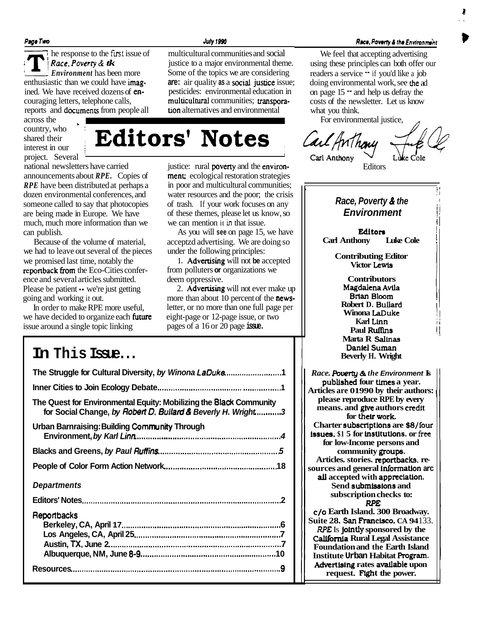**Page Two July 1990** 

Page Two  $\overline{R}$  he responsibility Race,  $P$ The response to the first issue of multicultural communities and social  $\vert$  **Race, Poverty & tk** iustice to a major environmental them **Example 3. Poverty &** *tk* **i** 1 issue to a major environmental theme.<br> **Environment** has been more Some of the topics we are considering enthusiastic than we could have imag- are: air quality as a social justice issue; ined. We have received dozens of en- pesticides: environmental education in couraging letters, telephone calls, **multicultural** communities; **transpora-**<br>reports and **documents** from people all **tion** alternatives and environmental reports and documents from people all

across the country, who shared their interest in our

 $\frac{\text{1}}{\text{1}}$ <br>
Interest in our **Editors' Notes**  $\text{2}}$  *Call* Anthany<br>
project. Several **Edition** institution is used in the environ-<br>
project. Several exploration is institute: rural poverty and the environannouncements about *RPE*. Copies of

*RPE* have been distributed at perhaps a in poor and multicultural communities; dozen environmental conferences, and water resources and the poor; the crisis someone called to say that photocopies of trash. If your work focuses on any are being made in Europe. We have of these themes, please let us know, so much, much more information than we we can mention it **in** that issue.

we had to leave out several of the pieces under the following principles: we promised last time, notably the **1.** Advertising will not be accepted reponback Itom the Eco-Cities confer- from polluters **or** organizations we ence and several articles submitted. deem oppressive. Please be patient  $\cdot \cdot$  we're just getting 2. Advertising will not ever make up going and working it out. The mews-

we have decided to organize each **future** eight-page or 12-page issue, or two issue around a single topic linking pages of a 16 or 20 page **issue.** 

# **In This Issue...**

**The Struggle for Cultural Diversity, by Winona LaDuke** .......................... **1 Inner Cities to Join Ecology Debate** ...................................... ................. **<sup>1</sup> The Quest for Environmental Equity: Mobilizing the Black Community for Social Change, by Robert D. Bullard** *8* **Beverly H. Wright** ............ **<sup>3</sup> Urban Barnraising: Building Community Through Environment, by Karl Linn** .................................................................. **<sup>4</sup> Blacks and Greens, by Paul Ruffins** ....................................................... **<sup>5</sup> People of Color Form Action Network** ................................................... **<sup>18</sup> Departments Editors' Notes** .......................................................................................... **<sup>2</sup> Reportbacks Berkeley, CA, April 17** ........................................................................ **6 Los Angeles, CA, April 25** .................................................................. **7 Austin, TX, June 2** .............................................................................. **7 Albuquerque, NM, June 8-9** ............................................................. **<sup>10</sup> Resources** .............................................................................................. **-9** 

**Race, Poverty & the Environment** 

We feel that accepting advertising using these principles can both offer our readers a service " if you'd like a job doing environmental work, see the ad on page  $15 -$  and help us defray the costs of the newsletter. Let us know what you think.

For environmental justice,



## . ; I **Race, Poverty & the**

**Environment** 

: i

1 i !.

I

**Editors Carl Anthony** 

> **Contributing Editor Victor Lewls**

**Marta R SalInas Danlel Suman Beverly H. Wright Contributors Magdalena Avila Btlan Bloom Robert D. Bullard** Winona LaDuke **Karl Linn Paul Ruffins** 

*Race. Pbwrty* & *the* **Environment Is published four Umes a year. Articles are 01990 by their authors:** <sup>1</sup> **please reproduce RPE by every means. and gtve authors crcdlt**  for their work. **Charter subscriptions are \$8/four issues. \$1 5 for hstltutlons. or** fret **for low-Income persons and community groups. Articles. stories. reportbacks. resources and general lnformatlon arc all accepted with apprcciatlon.**  Send submissions and **subscription checks to:**  *RPE*  **C/O Earth Island. 300 Broadway. Suite 28. San Fancisco. CA 94** 133. *RPE* Is **Jolntly sponsored by the California Rural Legal Assistance Foundation and the Earth Island Institute Urban Habitat Rogram. Advertising rates available upon** 

**request. Fight the power.** 

justice: rural **poverty** and the **environ-** Editors **ment**; ecological restoration strategies

Some of the topics we are considering

can publish.<br>Because of the volume of material, acceptzd advertising. We are doing so acceptzd advertising. We are doing so

more than about 10 percent of the news-In order to make RPE more useful, letter, or no more than one full page per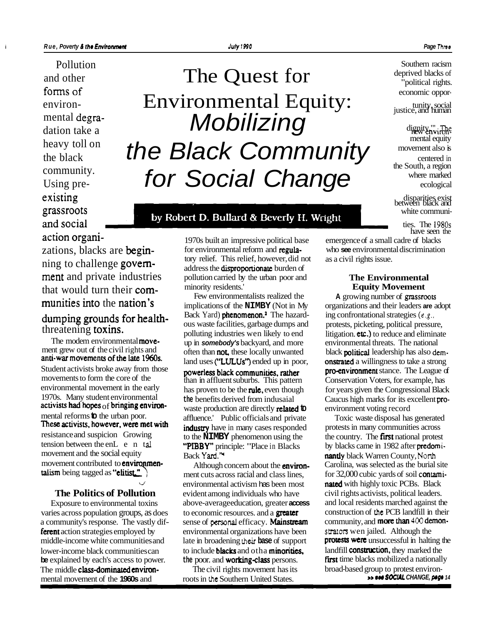Pollution existing disparities exist<br>grassroots between black and<br>white communi-

ning to challenge governthat would turn their com-<br>
Few environmentalists realized the **Equity Movement Equity Solution** 

and uses ("LULUs") ended up in poor, on the stated a willingness to take a strong<br>Student activists broke away from those powerless black communities, rather pro-environment stance. The League of<br>movements to form the core movements to form the core of the than in affluent suburbs. This pattern Conservation Voters, for example, has<br>environmental movement in the early become to be the pulse aven though for vears given the Congressional Black environmental movement in the early has proven to be the **rule**, even though for years given the Congressional Black the rule of 1970s. Many student environmental the benefits derived from inducatel 1970s. Many student environmental the benefits derived from indusaial Caucus high marks for its excellent pro-<br>
activists had hopes <sub>Of</sub> bringing environ-<br>
mental reforms to the urban poor.<br>
Toxic waste production are dir mental reforms to the urban poor. affluence. Public officials and private Toxic waste disposal has generated<br>These activists, however, were met with industry have in many cases responded protests in many communities across resistance and suspicion Growing tension between the en $L$  e n tal<br>movement and the social equity movement and the social equity<br> **EXECUTE:** Back **Yard**,  $\frac{1}{2}$  **nantly** black Warren County, North<br> **EXECUTE:** Although concern about the **environ-** Carolina was selected as the burial movement contributed to **environmen-** Although concern about the **environ-** Carolina, was selected as the burial site<br> **alism** being tagged as "**elitist."** 

varies across population groups, as does to economic resources. and a **greater** a community's response. The vastly dif-<br> **Summer is a community**, and **more than**  $400$  **demon-**<br> **ferent** action strategies employed by<br>
environmental organizations have been<br> **strators** wen jailed. Although the **ferent** action strategies employed by environmental organizations have been **strators** wen jailed. Although the middle-income white communities and late in broadening their base of support **protests were** unsuccessful in middle-income white communities and late in broadening their **base** of support lower-income black communities can to include **blacks** and otha **minorities**, landfill **construction**, they marked the **be** explained by each's access to power. the poor, and **working-class** persons. **First** time blacks mo **be** explained by each's access to power. The middle **class-dominated environ-** The civil rights movement has its broad-based group to protest environ-<br>mental movement of the **1960s** and proofs in the Southern United States **DECIAL CHANGE, page** 14 **be** explained by each's access to power. <br>
The civil rights movement has its the blacks mobilized a nationally<br>
mental movement of the **1960s** and roots in the Southern United States. <br> **Example 300 and** roots in the Sout

# and other The Quest for forms of economic oppor-<br>
environ-<br>
Environmental Equity:<br>  $\text{Equity, social}$ <br>  $\text{Justice, and human}$ environ-<br>
mental degra-<br>
dation take a<br>
dignity, with dignity, and human<br>
dignity, with the dignity, and human<br>
mental equity<br>
mental equity<br>
mental equity<br>
mental equity<br>
mental equity<br>
mental equity<br>
mental equity<br>
menta

# $\mathcal{L}_{\text{the black}}$  heavy toll on the Black Community movement also is  $\mathcal{L}_{\text{the black}}$  $\begin{array}{cc}\n \text{community.} \\
 \text{Using pre-} \\
 \end{array} \qquad \qquad \text{for } \textbf{Social} \text{ Change} \qquad \qquad \begin{array}{cc}\n \text{the South, a region} \\
 \text{where marked} \\
 \text{ecological}\n \end{array}$

## grassroots **by Dobort D. Pullard & Doverly H. Weight** White communiand social  $\overline{t}$  ties. The 1980s

have seen the action organi-<br>
1970s built an impressive political base emergence of a small cadre of blacks<br>
2010 xations. blacks are **begin**-<br>
<sup>1970s</sup> built an impressive political base emergence of a small cadre of black zations, blacks are **begin-** for environmental reform and **regula-** who **see** environmental contains to the contains to the contains to the contains to the contains to the contains to the contains to the contains to the co address the **disproportionate** burden of<br>pollution carried by the urban poor and ment and private industries pollution carried by the urban poor and **The Environmental** 

dumping grounds for health-<br>  $\frac{1}{2}$  back Yard) phenomenon.<sup>4</sup> The hazard-<br>  $\frac{1}{2}$  ing confrontational strategies (e.g.. **properties**, garbage dumps and protests, picketing, political pressure, threatening toxins.<br>polluting industries wen likely to end litigation. etc.) to reduce and eliminate<br>the modem environmental move-<br>prince the pressure, the pational The modem environmental **move-** up in **somebody's** backyard, and more environmental threats. The national ment grew out of the civil rights and content these locally unwanted block **political** loodership has also dependent ment grew out of the civil rights and often than **not**, these locally unwanted black **political** leadership has also dem-<br>anti-war movements of the late 1960s.

> to the **NIMBY** phenomenon using the the country. The **first** national protest "PIBBY" principle: "Place in Blacks by blacks came in 1982 after predomi-<br>Back Yard." **nantly** black Warren County, North

ment cuts across racial and class lines, for  $32,000$  cubic vards of soil contamienvironmental activism has been most **nated** with highly toxic PCBs. Black **The Politics of Pollution** evident among individuals who have civil rights activists, political leaders.<br>Exposure to environmental toxins above-averageeducation, greater **access** and local residents marched against the above-averageeducation, greater **access** and local residents marched against the to economic resources and a **greater** construction of the PCB landfill in their

Southern racism deprived blacks of "political rights.

For environmentalists realized the **A** growing number of grassroots implications of the **NIMBY** (Not in My organizations and their leaders are adopt during  $\sigma$  **and their leaders** are adopt Back Yard) **blenomenon.** The ha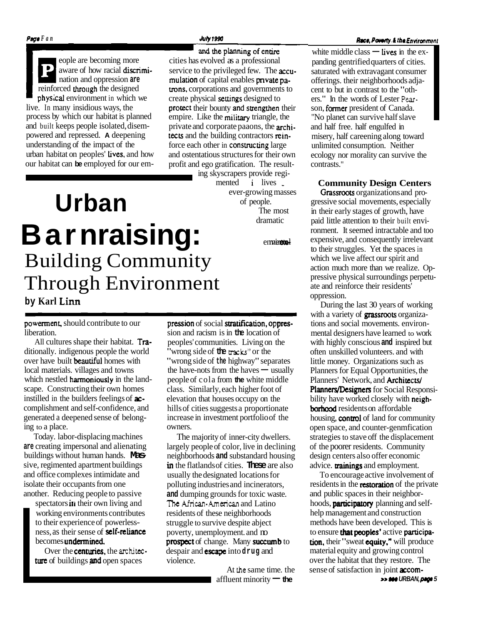physical environment in which we create physical settings designed to live. In many insidious ways, the **protect** their bounty and strengthen their process by which our habitat is planned empire. Like the military triangle, the process by which our habitat is planned empire. Like the military triangle, the and built keeps people isolated, disem-<br>private and corporate paaons, the arch and built keeps people isolated, disem-<br>private and corporate paaons, the **archi-**<br>powered and repressed. A deepening **rects** and the building contractors **rein**powered and repressed. **A** deepening tects and the building contractors rein-<br>understanding of the impact of the force each other in **constructing** large urban habitat on peoples' Lives, and how and ostentatious structures for their own our habitat can **be** employed for our em- profit and ego gratification. The result-

and the planning of entire eople are becoming more cities has evolved as a professional<br>aware of how racial **discrimi**-<br>service to the privileged few. The a aware of how racial **discrimi-** service to the privileged few. The **accu-**<br>nation and oppression **are multion** of capital enables **private** panation and oppression **are all increases are all increases are all increases private particles private particles private particles private particles private particles private particles in the designed <b>trons**, corporations **trons**, corporations and governments to force each other in constructing large

ing skyscrapers provide regimented i lives Urban **ever-growing masses**<br>of people. of people. The most dramatic

# **Barnraising: Example 18** Building Community Through Environment

# powerment, should contribute to our pression of social stratification, oppres-

**by Karl Lim** 

ditionally. indigenous people the world "wrong side of the **tracks**" or the over have built **beautiful** homes with "wrong side of the highway" seps which nestled **harmoniously** in the land- people of cola from **the** white middle scape. Constructing their own homes class. Similarly, each higher foot of instilled in the builders feelings of **ac-** elevation that houses occupy on the complishment and self-confidence, and hills of cities suggests a proportional generated a deepened sense of belong- increase in investment portfolio of the ing to a place.  $\Box$  owners.

Today. labor-displacing machines The majority of inner-city dwellers. isolate their occupants from one polluting industries and incinerators, another. Reducing people to passive **and** dumping grounds for toxic waste.

working environments contributes residents of these neighborhoods to their experience of powerless- struggle to survive despite abject ness, as their sense of **self-reliance** poverty, unemployment. and m<br>becomes **undermined. prospect** of change. Many **succe** 

ture of buildings and open spaces violence.

liberation.<br>
All cultures shape their habitat. **Tra**-<br>
peoples' communities. Living on the peoples' communities. Living on the ditionally. indigenous people the world<br>
over have built **beautiful** homes with "wrong side of **the** highway" separates<br>
local materials. villages and towns the have-nots from the haves — usually<br>
which needed **bermanisure** hills of cities suggests a proportionate

**are** creating impersonal and alienating largely people of color, live in declining buildings without human hands. **Mas-** neighborhoods **and** substandard housing sive, regimented apartment buildings **in** the flatlands of cities. **These** are also usually the designated locations for spectators in their own living and **The African-American** and Latino prospect of change. Many succumb to Over the **centuries**, the **architec** *despair and* **<b>escape** into **drug** and

> At **the** same time. the affluent minority **- the**

white middle class  $-$  lives in the expanding gentrified quarters of cities. saturated with extravagant consumer offerings. their neighborhoods adjacent to but in contrast to the "others." In the words of Lester **Pear**son, former president of Canada. "No planet can survive half slave and half free. half engulfed in misery, half careening along toward unlimited consumption. Neither ecology nor morality can survive the contrasts."

**Community Design Centers** 

Grassroots organizations and progressive social movements, especially in their early stages of growth, have paid little attention to their built environment. It seemed intractable and too expensive, and consequently irrelevant to their struggles. Yet the spaces in which we live affect our spirit and action much more than we realize. Oppressive physical surroundings perpetuate and reinforce their residents' oppression.

During the last 30 years of working with a variety of **grassroots** organizations and social movements. environmental designers have learned to work with highly conscious **and** inspired but often unskilled volunteers. and with little money. Organizations such as Planners for Equal Opportunities, the Planners' Network, and Architects/ Planners/Designers for Social Responsibility have worked closely with neigh**borhood** residents on affordable housing, **control** of land for community open space, and counter-genmfication strategies to stave off the displacement of the poorer residents. Community design centers also offer economic advice. **trainings** and employment.

To encourage active involvement of residents in the **restoration** of the private and public spaces in their neighborhoods, **participatory** planning and selfhelp management and construction methods have been developed. This is to ensure that peoples' active participation, their "sweat equity," will produce material equity and growing control over the habitat that they restore. The sense of satisfaction in joint **accomwww URBAN, page 5**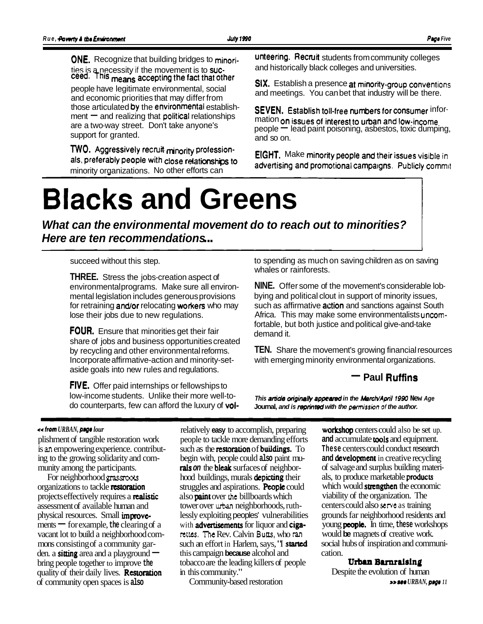ties is a necessity if the movement is to suc-<br>ceed. This means accepting the fact that other people have regiminate environmental, social and meetings. You can bet that industry will be there.<br>and economic priorities that may differ from **and meetings.** You can bet that industry will be there.<br>**SEVEN** Establish to and economic priorities that may differ from<br>those articulated by the environmental establish-<br>ment - and realizing that political relationships mation on issues of interest to urban and low-income

**TWO.** Aggressively recruit minority profession-<br>als, preferably people with close relationships to a discription and permetiscal segments of bilish assessively minority organizations. No other efforts can

**ONE.** Recognize that building bridges to minori-<br>ties is a necessity if the movement is to suc-<br>and historically black colleges and universities.

the fact that Other SIX. Establish a presence at minority-group conventions people have legitimate environmental, social

are a two-way street. Don't take anyone's<br>support for granted.<br>support for granted.<br>and so on.<br>and so on.

advertising and promotional campaigns. Publicly commit-

# **Blacks and Greens**

**What can the environmental movement do to reach out to minorities? Here are ten recommendations** ...

succeed without this step.

**THREE.** Stress the jobs-creation aspect of environmental programs. Make sure all environmental legislation includes generous provisions for retraining **and/or** relocating workers who may lose their jobs due to new regulations.

**FOUR.** Ensure that minorities get their fair share of jobs and business opportunities created by recycling and other environmental reforms. Incorporate affirmative-action and minority-setaside goals into new rules and regulations.

**FIVE.** Offer paid internships or fellowships to low-income students. Unlike their more well-todo counterparts, few can afford the luxury of volto spending as much on saving children as on saving whales or rainforests.

**NINE.** Offer some of the movement's considerable lobbying and political clout in support of minority issues, such as affirmative **action** and sanctions against South Africa. This may make some environmentalists uncomfortable, but both justice and political give-and-take demand it.

**TEN.** Share the movement's growing financial resources with emerging minority environmental organizations.<br> **- Paul Ruffins** 

This article originally appeared in the March/April 1990 New Age **Journal, and is reprinted with the** permission **of the author.** 

#### ++ **tram** *URBAN, pqe lour*

plishment of tangible restoration work is **an** empowering experience. contributing to the growing solidarity and community among the participants.

For neighborhood *grassoots*  organizations to tackle restoration projects effectively requires a **realistic** assessment of available human and physical resources. Small improvements  $\equiv$  for example, the clearing of a vacant lot to build a neighborhood commons consisting of a community garden. a sitting area and a playground  $$ bring people together to improve **the**  quality of their daily lives. Restoration of community open spaces is **also** 

relatively **easy** to accomplish, preparing people to tackle more demanding efforts such as the **restoration** of **buildings**. To begin with, people could **also** paint murals **on** the bleak surfaces of neighborhood buildings, murals **depicting** their struggles and aspirations. **People** could also paint over **the** billboards which tower over **urban** neighborhoods, ruthlessly exploiting peoples' vulnerabilities with **advertisements** for liquor and **ciganues.** The Rev. Calvin **Butts,** who **ran**  such an effort in Harlem, says, 'T started this campaign **because** alcohol and tobacco are the leading killers of people in this community."

Community-based restoration

workshop centers could also be set up. **and** accumulate tools and equipment. **These** centers could conduct research **and** development in creative recycling of salvage and surplus building materials, to produce marketable products which would strengthen the economic viability of the organization. The centers could also **serve** as training grounds far neighborhood residents and young **people.** In time, these workshops would **be** magnets of creative work. social hubs of inspiration and communication.

## **Urban Bunraising**

Despite the evolution of human \*\* **see** *URBAN, pqe 11*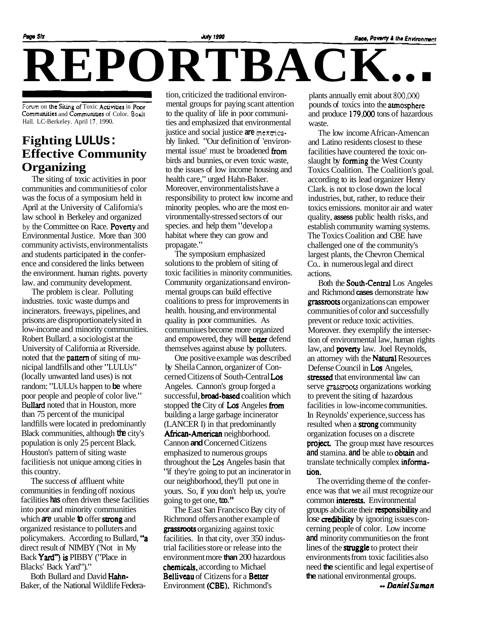# Page Six<br> **REPORTBACK.**

Forum on the Siting of Toxic Activities in Poor Communities and Communities of Color. Boalt Hall. LC-Berkeley. April **17.** 1990.

## **Fighting LULUs: Effective Community Organizing**

The siting of toxic activities in poor communities and communities of color was the focus of a symposium held in April at the University of California's law school in Berkeley and organized by the Committee on Race. Poverty and Environmental Justice. More than 300 community activists, environmentalists and students participated in the conference and considered the links between the environment. human rights. poverty law. and community development.

The problem is clear. Polluting industries. toxic waste dumps and incinerators. freeways, pipelines, and prisons are disproportionately sited in low-income and minority communities. Robert Bullard. a sociologist at the University of California at Riverside. noted that the pattern of siting of municipal landfills and other "LULUs" (locally unwanted land uses) is not random: "LULUs happen to **be** where poor people and people of color live." Bullard noted that in Houston, more than 75 percent of the municipal landfills were located in predominantly Black communities, although **the** city's population is only 25 percent Black. Houston's pattern of siting waste facilities is not unique among cities in this country.

The success of affluent white communities in fending off noxious facilities **has** often driven these facilities into poor and minority communities which **are** unable **to** offer strong and organized resistance to polluters and policymakers. According to Bullard, "a direct result of NIMBY ('Not in My Back Yard") is PIBBY ("Place in Blacks' Back Yard")."

Both Bullard and David Hahn-Baker, of the National Wildlife Federa-

tion, criticized the traditional environmental groups for paying scant attention to the quality of life in poor communities and emphasized that environmental justice and social justice **are mcxaica**bly linked. "Our definition of 'environmental issue' must be broadened from birds and bunnies, or even toxic waste, to the issues of low income housing and health care," urged Hahn-Baker. Moreover, environmentalists have a responsibility to protect low income and minority peoples. who are the most environmentally -stressed sectors of our species. and help them "develop a habitat where they can grow and propagate."

The symposium emphasized solutions to the problem of siting of toxic facilities in minority communities. Community organizations and environmental groups can build effective coalitions to press for improvements in health. housing, and environmental quality in poor communities. As communiues become more organized and empowered, they will **better** defend themselves against abuse by polluters.

One positive example was described by Sheila Cannon, organizer of Concerned Citizens of South-Central Los Angeles. Cannon's group forged a successful, **broad-based** coalition which stopped **the** City of Los Angeles from building a large garbage incinerator (LANCER I) in that predominantly African-American neighborhood. Cannon **and** Concerned Citizens emphasized to numerous groups throughout the **Los** Angeles basin that "if they're going to put an incinerator in our neighborhood, they'll put one in yours. So, if you don't help us, you're going to get one, **too."** 

The East San Francisco Bay city of Richmond offers another example of grassroots organizing against toxic facilities. In that city, over 350 industrial facilities store or release into the environment more **than** 200 hazardous chemicals, according to Michael **Belliveau** of Citizens for a **Better** Environment (CBE). Richmond's

plants annually emit about 800,000 pounds of toxics into the atmosphere and produce 179.000 tons of hazardous waste.

The low income African-Amencan and Latino residents closest to these facilities have countered the toxic onslaught by forming the West County Toxics Coalition. The Coalition's goal. according to its lead organizer Henry Clark. is not to close down the local industries, but, rather, to reduce their toxics emissions. monitor air and water quality, **assess** public health risks, and establish community warning systems. The Toxics Coalition and CBE have challenged one of the community's largest plants, the Chevron Chemical Co.. in numerous legal and direct actions.

Both the South-Central Los Angeles and Richmond **cases** demonstrate how grassroots organizations can empower communities of color and successfully prevent or reduce toxic activities. Moreover. they exemplify the intersection of environmental law, human rights law, and **poverty** law. Joel Reynolds, an attorney with the **Natural Resources** Defense Council in Los Angeles, stressed that environmental law can serve **grassoots** organizations working to prevent the siting of hazardous facilities in low-income communities. In Reynolds' experience, success has resulted when a **strong** community organization focuses on a discrete project. The group must have resources **and** stamina. **and** be able to obrain and translate technically complex information.

The overriding theme of the conference was that we ail must recognize our common interests. Environmental groups abdicate their responsibility and lose **credibility** by ignoring issues concerning people of color. Low income **and** minority communities on the front lines of the **struggle** to protect their environments from toxic facilities also need **the** scientific and legal expertise of **the** national environmental groups. -- *Daniel* **Suman**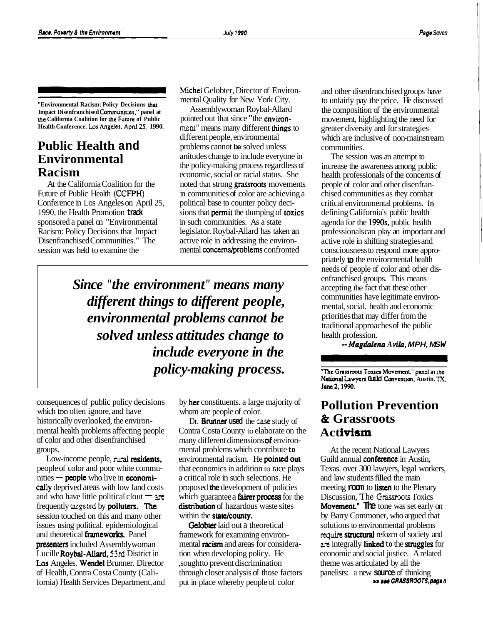**"Environmental Racism: Policy Decisions that Impact Disenfranchised Communiues." panel at rhe California Coalition for rhe Future of Public Health Conference. Los Angdes. Apnl 25. 1990.** 

## **Public Health and Environmental Racism**

At the California Coalition for the Future of Public Health (CCFPH) Conference in Los Angeles on April 25, 1990, the Health Promotion **track**  sponsored a panel on "Environmental Racism: Policy Decisions that Impact Disenfranchised Communities." The session was held to examine the

Michel Gelobter, Director of Environmental Quality for New York City.

Assemblywoman Roybal-Allard pointed out that since "the environment" means many different things to different people, environmental problems cannot **be** solved unless anitudes change to include everyone in the policy-making process regardless of economic, social or racial status. She noted that strong **grassroots** movements in communities of color are achieving a political base to counter policy decisions that permit the dumping of toxics in such communities. As a state legislator. Roybal-Allard has taken an active role in addressing the environmental concerns/problems confronted

*Since "the environment" means many different things to different people, environmental problems cannot be solved unless attitudes change to include everyone in the policy-making process.* 

consequences of public policy decisions which too often ignore, and have historically overlooked, the environmental health problems affecting people of color and other disenfranchised groups.

Low-income people, rural residents, people of color and poor white commu-Low-income people, rural residents<br>people of color and poor white commi-<br>nities — **people** who live in **economi**cally deprived areas with low land costs nthe s — **people** who live in **economi-**<br>cally deprived areas with low land costs<br>and who have little political clout —  $\Delta \tau$ frequently targeted by **polluters**. The session touched on this and many other issues using political. epidemiological and theoretical frameworks. Panel **presenters** included Assemblywoman Lucille Roybal-Allard, **53rd** District in Los Angeles. Wendel Brunner. Director of Health, Contra Costa County (California) Health Services Department, and

by her constituents. a large majority of whom are people of color.

Dr. Brunner **used** the **case** study of Contra Costa County to elaborate on the many different dimensions of environmental problems which contribute **to**  environmental racism. He **pointed out** that economics in addition to race plays a critical role in such selections. He proposed **the** development of policies which guarantee a **fairer process** for the distribution of hazardous waste sites within the state/county.

**Gelobter** laid out a theoretical framework for examining environmental **racism** and areas for consideration when developing policy. He ,sought to prevent discrimination through closer analysis of those factors put in place whereby people of color

and other disenfranchised groups have to unfairly pay the price. He discussed the composition of the environmental movement, highlighting the need for greater diversity and for strategies which are inclusive of non-mainstream communities.

The session was an attempt to increase the awareness among public health professionals of the concerns of people of color and other disenfranchised communities as they combat critical environmental problems. **In**  defining California's public health agenda for the 1990s, public health professionals can play an important and active role in shifting strategies and consciousness to respond more appropriately to the environmental health needs of people of color and other disenfranchised groups. This means accepting the fact that these other communities have legitimate environmental, social. health and economic priorities that may differ from the traditional approaches of the public health profession.

-- **Magdalcna** *A vila,* **MPH, MS W** 

**The Grassroots Toxics Movement," panel at the National Lwyeo Guild Ccnventian, Austin.** TX. **Junc 2,19QO.** 

## **Pollution Prevention**  & **Grassroots Act ivisrn**

At the recent National Lawyers Guild annual conference in Austin, Texas. over 300 lawyers, legal workers, and law students filled the main meeting **room** to **listen** to the Plenary Discussion, 'The **Grassroors** Toxics Movement" **The** tone was set early on by Barry Commoner, who argued that solutions to environmental problems **quire** structural refozm of society and **arc** integrally linked **to** the struggles for economic and social justice. A related theme was articulated by all the panelists: a new **source** of thinking **BS 800 GRASSROOTS, page 8**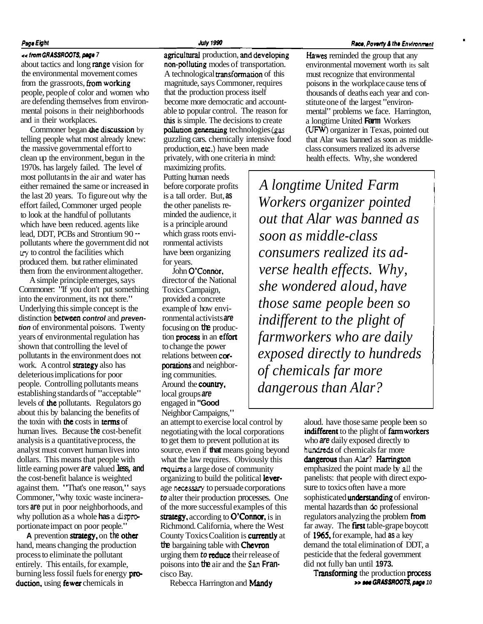### Page Eight

#### **cc from GRASSROOTS, prgr 7**

about tactics and long range vision for the environmental movement comes from the grassroots, from working people, people of color and women who are defending themselves from environmental poisons in their neighborhoods and in their workplaces.

Commoner began the discussion by telling people what most already knew: the massive governmental effort to clean up the environment, begun in the 1970s. has largely failed. The level of most pollutants in the air and water has either remained the same or increased in the last 20 years. To figure out why the effort failed, Commoner urged people to look at the handful of pollutants which have been reduced. agents like lead, DDT, PCBs and Strontium 90 - pollutants where the government did not cry to control the facilities which produced them. but rather eliminated them from the environment altogether.

A simple principle emerges, says Commoner: "If you don't put something into the environment, its not there." Underlying this simple concept is the distinction between **control** and **prevention** of environmental poisons. Twenty years of environmental regulation has shown that controlling the level of pollutants in the environment does not work. A control **strategy** also has deleterious implications for poor people. Controlling pollutants means establishing standards of "acceptable" levels of **the** pollutants. Regulators go about this by balancing the benefits of the toxin with the costs in terms of human lives. Because **the** cost-benefit analysis is a quantitative process, the analyst must convert human lives into dollars. This means that people with little earning power **are** valued **less, and**  the cost-benefit balance is weighted against them. "That's one reason," says Commoner, "why toxic waste incinerators **are** put in poor neighborhoods, and why pollution as a whole **has** a **dispm**  portionate impact on poor people."

A prevention **strategy**, on the other hand, means changing the production process to eliminate the pollutant entirely. This entails, for example, burning less fossil fuels for energy **pro**duction, using fewer chemicals in

agricultural production, and developing non-polluting modes of transportation. A technological **transformation** of this magnitude, says Commoner, requires that the production process itself become more democratic and accountable **to** popular control. The reason for this is simple. The decisions to create pollution generating technologies (gas guzzling cars. chemically intensive food production, etc.) have been made privately, with one criteria in mind:

maximizing profits. Putting human needs before corporate profits is a tall order. But, **as**  the other panelists reminded the audience, it is a principle around which grass roots environmental activists have been organizing for years.

John O'Connor. director of the National Toxics Campaign, provided a concrete example of how environmental activists **are**  focusing on **the** production process in an effort to change the power relations between corporations and neighboring communities. Around the country, local groups **are**  engaged in **"Good**  Neighbor Campaigns,"

an attempt to exercise local control by negotiating with the local corporations to get them to prevent pollution at its source, even if **that** means going beyond what the law requires. Obviously this **requires** a large dose of community organizing to build the political leverage necessary to persuade corporations **to** alter their production processes. One of the more successful examples of this strategy, according to O'Connor, is in Richmond. California, where the West County Toxics Coalition is **currently** at **the** bargaining table with Chevron urging them **to** reduce their release of poisons into **the** air and the **San Fran** cisco Bay.

Rebecca Harrington and **Mandy** 

#### **Race, Poverty & the Environment**

Hawes reminded the group that any environmental movement worth its salt must recognize that environmental poisons in the workplace cause tens of thousands of deaths each year and conmousands of deaths each year and<br>stitute one of the largest "environ-<br>mental" problems we face. Harrir<br>a longtime United Farm Workers<br>(UFW) organizer in Texas, pointed<br>that Alar was banned as soon as m mental" problems we face. Harrington, a longtime United **Farm** Workers (UFW) organizer in Texas, pointed out that Alar was banned as soon as middleclass consumers realized its adverse health effects. Why, she wondered

*A longtime United Farm Workers organizer pointed out that Alar was banned as soon as middle-class consumers realized its adverse health effects. Why, she wondered aloud, have those same people been so indifferent to the plight of farmworkers who are daily*  $exposed$  *directly to hundreds of chemicals far more dangerous than Alar?* 

> aloud. have those same people been so indifferent to the plight of farmworkers who **are** daily exposed directly to **hundreds** of chemicals far more dangerous than Alar? Harrington emphasized the point made by **all** the panelists: that people with direct exposure to toxics often have a more sophisticated understanding of environmental hazards than do professional regulators analyzing the problem from far away. The first table-grape boycott of **1965,** for example, had **as** a key demand the total elimination of DDT, a pesticide that the federal government did not fully ban until **1973.**

Transforming the production process **BBB BM GRASSROOTS**, page 10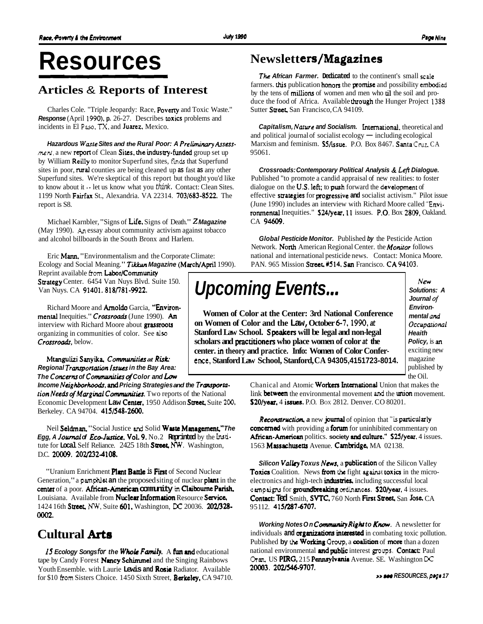# **Resources**

## **Articles** & **Reports of Interest**

Charles Cole. "Triple Jeopardy: Race, Poverty and Toxic Waste." **Response** (April 1990), **p.** 26-27. Describes toxics problems and incidents in El **Paso. TX,** and Juarez. Mexico.

**Hazardous Wasre Sites and the Rural Poor: A Preliminary hsess**ment, a new report of Clean Sites, the industry-funded group set up by William Reilly to monitor Superfund sites, **Finds** that Superfund sites in poor, rural counties are being cleaned up **as** fast **as** any other Superfund sites. We're skeptical of this report but thought you'd like to know about it  $\cdot$  let us know what you think. Contact: Clean Sites. 1199 North Fairfax St., Alexandria. VA 22314. 703/683-8522. The report is S8.

Michael Karnbler, "Signs of Lie. Signs of Death." **<sup>Z</sup>Magazine**  (May 1990). **An** essay about community activism against tobacco and alcohol billboards in the South Bronx and Harlem.

Eric Mann. "Environmentalism and the Corporate Climate: Ecology and Social Meaning." Tikkun Magazine (March/April 1990).

Reprint available from Labor/Community Strategy Center. 6454 Van Nuys Blvd. Suite 150. Van Nuys. CA 91401. 818/781-9922.

Richard Moore and **Arnoldo** Garcia, "Environmental Inequities." Crossroads (June 1990). An interview with Richard Moore about grassroots organizing in communities of color. See **also**  Crossroads, below.

Mtangulizi Sanyika **Communities at Rirk Regional Tramportation Issues in the Bay Area: The Concerns of Commruririrs of Color and** Low

Income Neighborhoods, and Pricing Strategies and the Transporta*tion Needs of Marginal Communities.* Two reports of the National Economic Development Law Center. 1950 Addison Street. Suite 200, Berkeley. CA 94704. 415/548-2600.

Neil Seldman. "Social Justice **and** Solid Waste Mmagement," **The Egg, A Journal of Eco-Justice. Vol. 9.** No.2 **Reprinted** by the **Insti**tute for **Local** Self Reliance. 2425 18th Street **NW.** Washington, D.C. 20009. 202/232-4108.

"Uranium Enrichment **Plant Battle is First** of Second Nuclear Generation," a **pamphlet an** the proposed siting of nuclear **plant** in the center of a poor. African-Americm **community in** Claiboume **Parish,**  Louisiana. Available from Nuclear Information Resource Service, 1424 16th Street, NW, Suite 601. Washington, DC 20036. 202/328-0002.

# **Cultural Arts**

15 Ecology Songsfor the Whole Family. A fun and educational tape by Candy Forest Nancy Schimmel and the Singing Rainbows Youth Ensemble. with Laurie Lewis and Rosie Radiator. Available for \$10 from Sisters Choice. 1450 Sixth Street, Berkeley, CA 94710.

# **Newslett ers/Magazines**

**The African Farmer. Dedicated** to the continent's small scale farmers. this publication honors the promise and possibility embodied by the tens of millions of women and men who **il** the soil and produce the food of Africa. Available through the Hunger Project 1398 Sutter Street, San Francisco, CA 94109.

**Capitalism, Nature and Socialism.** International. theoretical and and political journal of socialist ecology  $-$  including ecological Marxism and feminism. **S5/issue.** P.O. Box 8467. Santa Cruz, CA 95061.

**Crossroads: Contemporary Political Analysis** & **Left Dialogue.**  Published "to promote a candid appraisal of new realities: to foster dialogue on the **U.S. left;** to **push** forward the **development** of effective suategies for progressive **and** socialist activism." Pilot issue (June 1990) includes an interview with Richard Moore called "Environmental Inequities." S24/year, 11 issues. P.O. Box 2809, Oakland. CA 94609.

**Global Pesticide Monitor.** Published **by** the Pesticide Action Network. North American Regional Center. the **Moniror** follows national and international pesticide news. Contact: Monica Moore. PAN. 965 Mission Street. #514, San Francisco. CA 94103.

# **Upcoming Events...**

**Women of Color at the Center: 3rd National Conference on Women of Color and the Law, October 6-7.1990, at Stanford Law School. Speakers will be legal and non-legal**  scholars and **practitioners** who place women of color at the **center. in theory and practice. Info: Women of Color Conference, Stanford Law School, Stanford, CA 94305,4151723-8014.** 

**,'Jew Solutions: A Journal of Environmental nnd Occupatio~l Heaith Policy,** is **an**  exciting new magazine published by the Oil.

Chanical and Atomic Workers International Union that makes the link between the environmental movement **and** the union movement. \$20/year, 4 issues. P.O. Box 2812. Denver. CO 80201.

**Reconnruction, a** new **journal** of opinion that **"is** particularly **concerned** with providing a **forum** for uninhibited commentary on African-American politics. society and culture." \$25/year. 4 issues. 1563 Massachusetts Avenue. Cambridge, MA 02138.

**Silicon Valley Toxus News, a publication** of the Silicon Valley Toxics Coalition. News from the fight **against toxics** in the microelectronics and high-tech **industries**, including successful local campaigns for groundbreaking ordinances. \$20/year, 4 issues. Contact: Ted Smith, SVTC. 760 North First Street, San Jose, CA 95112. 415/287-6707.

**Working Notes On Community Right to Know.** A newsletter for individuals and **organizations interested** in combating toxic pollution. Published by the Working Group, a coalition of more than a dozen national environmental and public interest groups. Contact: Paul Oran, US PIRG, 215 Pennsylvania Avenue. SE. Washington DC 20003. 202/546-9707.

*<u>xx 800 RESOURCES, page 17</u>*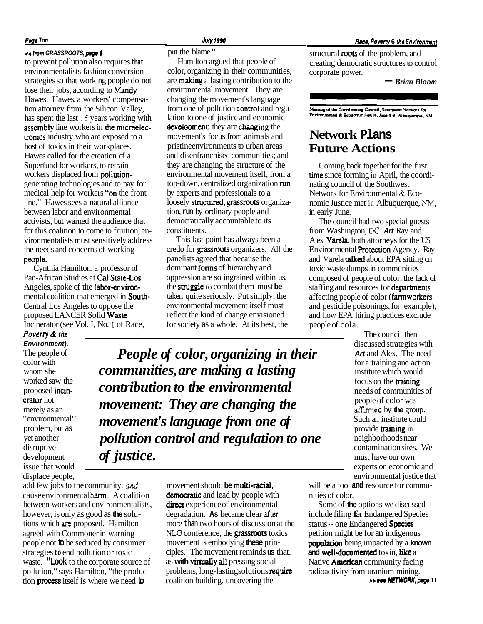#### **Page Ton**

#### << **lrom GRASSROOTS, pqo** *8*

to prevent pollution also requires **that**  environmentalists fashion conversion strategies so that working people do not lose their jobs, according to Mandy Hawes. Hawes, a workers' compensation attorney from the Silicon Valley, has spent the last **15** years working with assembty line workers in **the** micreelectronics industry who are exposed to a host of toxics in their workplaces. Hawes called for the creation of a Superfund for workers, to retrain workers displaced from pollutiongenerating technologies and to pay for medical help for workers "on the front line." Hawes sees a natural alliance between labor and environmental activists, but warned the audience that for this coalition to come to fruition, environmentalists must sensitively address the needs and concerns of working people. Cynthia Hamilton, a professor of

Pan-African Studies at Cal State-Los Angeles, spoke of the **labor-environ**mental coalition that emerged in South-Central Los Angeles to oppose the proposed LANCER Solid Waste Incinerator (see Vol. I, No. **1** of Race,

**Poverty** & *the*  **Environment).**  The people of color with whom she worked saw the proposed incin erator not merely as an "environmental" problem, but as yet another disruptive development issue that would displace people,

add few jobs to the community. and cause environmental **harm.** A coalition between workers and environmentalists, however, is only as good as **the** solutions which **arc** proposed. Hamilton agreed with Commoner in warning people not **to** be seduced by consumer strategies **to** end pollution or toxic waste. **"Look** to the corporate source of pollution," says Hamilton, "the production process itself is where we need **to** 

. **JrdV 1996** 

put the blame."

Hamilton argued that people of color, organizing in their communities, are **making** a lasting contribution to the environmental movement: They are changing the movement's language from one of pollution control and regulation to one of justice and economic **development**; they are **changing** the movement's focus from animals and pristineenvironments to urban areas and disenfranchised communities; and they are changing the structure of the environmental movement itself, from a top-down, centralized organization run by experts and professionals to a loosely structured, grassroots organization, **run** by ordinary people and democratically accountable to its constituents.

This last point has always been a credo for grassroots organizers. All the panelists agreed that because the dominant **forms** of hierarchy and oppression are so ingrained within us, the struggle to combat them must **be**  taken quite seriously. Put simply, the environmental movement itself must reflect the kind of change envisioned for society as a whole. At its best, the

*People of color, organizing in their communities, are making a lasting contribution to the environmental movement: They are changing the movement's language from one of pollution control and regulation to one of justice.* 

> movement should **be** multi-racial. democratic and lead by people with direct experience of environmental degradation. **As** became clear **after**  more than two hours of discussion at the **NLG** conference, the grassroots toxics movement is embodying **these** principles. The movement reminds **us** that. as **with** virtually **all** pressing social problems, long-lasting solutions require coalition building. uncovering the

#### **Race, Poverty 6 the Environment**

structural roots of the problem, and creating democratic structures to control corporate power.

- *Brian* **Bloom** 

Meeting of the Coordinating Council, Southwest Network for Environmental & Economic Justice, June 8-9, Albuquerque, NM.

## **Network Plans Future Actions**

Coming back together for the first time since forming in April, the coordinating council of the Southwest Network for Environmental & Economic Justice met in Albuquerque, **NM,**  in early June.

The council had two special guests from Washington, **DC, Art** Ray and Alex Varela, both attorneys for the US Environmental Protection Agency. Ray and Varela **talked** about EPA sitting on toxic waste dumps in communities composed of people of color, the lack of staffing and resources for departments affecting people of color (farmworkers and pesticide poisonings, for example), and how EPA hiring practices exclude people of cola.

> The council then discussed strategies with **Art** and Alex. The need for a training and action institute which would focus on the **training** needs of communities of people of color was **flied** by **the** group. Such an institute could provide **training** in neighborhoods near contamination sites. We must have our own experts on economic and environmental justice that

will be a tool **and** resource for communities of color.

Some of **the** options we discussed include filing fa Endangered Species status  $\cdot\cdot$  one Endangered **Species** petition might be for an indigenous **population** being impacted by a **known** and well-documented toxin, like a Native **American** community facing radioactivity from uranium mining. >\* **om NFTWORK, prgr 11**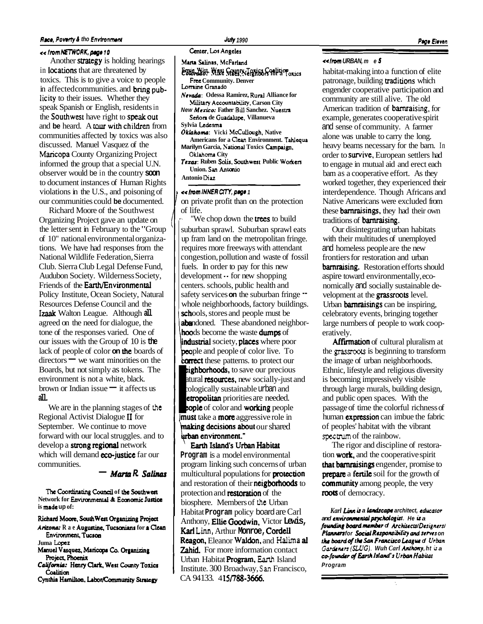#### **Race, Poverty & tho Environment July 1990**

#### **ee Irom NETWORK, page 10 <b>Cancel Angeles** Center, Los Angeles

the Southwest have right to speak Out I **Setion de Guadalupe. Villanueva**  Another strategy is holding hearings in locations that are threatened by toxics. This is to give a voice to people in affected communities. and **bring pub**licity to their issues. Whether they speak Spanish or English, residents in and **be** heard. A tour with children from communities affected by toxics was also discussed. Manuel Vasquez of the Maricopa County Organizing Project informed the group that a special U.N. observer would be in the country **soon**  to document instances of Human Rights violations in the U.S., and poisoning of our communities could **be** documented.

Richard Moore of the Southwest Organizing Project gave an update on the letter sent in February to the "Group of 10" national environmental organizations. We have had responses from the National Wildlife Federation, Sierra Club. Sierra Club Legal Defense Fund, Audubon Society. Wilderness Society, Friends of the **Earth/Environmental** Policy Institute, Ocean Society, Natural Resources Defense Council and the Izaak Walton League. Although **all**  agreed on the need for dialogue, the tone of the responses varied. One of our issues with the Group of 10 is **the**  lack of people of color **on** the boards of our issues with the Group of 10 is the<br>lack of people of color **on the** boards of<br>directors  $-$  we want minorities on the Boards, but not simply as tokens. The environment is not a white, black. brown or Indian issue  $-$  it affects us **all.** 

We are in the planning stages of **the**  Regional Activist Dialogue I1 for September. We continue to move forward with our local struggles. and to develop a strong regional network which will demand **eco-justice** far our<br>
communities. **-** *Marta R. Salinas* communities.

The Coordinating Council of the Southwest Network for **Environmental & Economic Justice is made up of:** 

 $Richard Moore, South West Organizationg Project$ 

Arizona: R a e Augustine, Tucsonians for a Clean **Environment**, Tucson Juma **Lopez** 

- **Manuel Vasquez**, Maricopa Co. Organizing Project, Phoenix
- *Cok'fmia:* **Hmy Quk, West Caunty Toxia**  Coalition
- Cynthia Hamilton, Labor/Community Strategy

- **~~w~~e~~~~~dTofic, cmlition Cobmdo: .Mike Maes. Xeighbon for a Toms**
- **Frce Community. Denver**  Lorraine Granado
- **Nevd: Odessa Ramirez, Rural Alliance for Military Accountability, Carson City**
- **New Merico: Father** Bdl **Sanchez. Nuesua**
- **Sylvia Ledesma**
- Oklahoma: Vicki McCullough, Native Americans for a Clean Environment. Tahlequa **Marilyn Garcia, National Toxics Campaign,**
- **Oklahoma** City Texas: Ruben Solis, Southwest Public Workers **Union. San Antanio**

**Antonio Diaz** 

**Example** *e* **e** *university, page 1* **on** private profit than on the protection of life.

"We chop down the **trees** to build suburban sprawl. Suburban sprawl eats up fram land on the metropolitan fringe. requires more freeways with attendant congestion, pollution and waste of fossil fuels. In order to pay for this new development -- for new shopping centers. schools, public health and safety services **on** the suburban fringe  $\cdot$ whole neighborhoods, factory buildings. schools, stores and people must be abandoned. These abandoned neighborhoods become the waste dumps of industrial society, places where poor<br>
people and people of color live. To **correct** these patterns. to protect our eighborhoods, to save our precious atural **resources**, new socially-just and ecologically sustainable urban and **people and people of color live. To**<br> **correct** these patterns. to protect our<br> **emploided.** It is also contracted to the priorities are needed.<br> **exploiding people of color and working people**<br> **emust** take a **more** aggr **Imust** take a **more** aggressive role in **making decisions about our shared** urban environment."<br>Earth Island's Urban Habitat

**Program** is a model environmental program linking such concerns of urban multicultural populations for **protection** and restoration of their neigborhoods to protection and **restoration** of the biosphere. Members of **the** Urban Habitat **Program** policy board are Carl Zahid. For more information contact Urban Habitat Program, **Eanh** Island Institute. 300 Broadway, **San** Francisco, CA 94133. 41**5/788-3666.** Anthony, **Ellie Goodwin**, Victor **Lewis**, **Kad Linn,** Arthur **Monroe,** Cordell Reagon, Eleanor Waldon, and **Halima** al

# -- **\*e lm URBAN, me <sup>5</sup>**

habitat-making into a function of elite patronage, building **traditions** which engender cooperative participation and community are still alive. The old American tradition of barnraising, for example, generates cooperative spirit and sense of community. A farmer alone was unable to carry the long. heavy beams necessary for the barn. In order to survive, European settlers had to engage in mutual aid and erect each barn as a cooperative effort. As they worked together, they experienced their interdependence. Though Africans and Native Americans were excluded from these barnraisings, they had their own traditions of barnraising.

Our disintegrating urban habitats with their multitudes of unemployed and homeless people are the new frontiers for restoration and urban barnraising. Restoration efforts should aspire toward environmentally, economically and socially sustainable development at the grassroots level. Urban **barnraisings** can be inspiring, celebratory events, bringing together large numbers of people to work cooperatively.

Affirmation of cultural pluralism at the **grassoots** is beginning to transform the image of urban neighborhoods. Ethnic, lifestyle and religious diversity is becoming impressively visible through large murals, building design, and public open spaces. With the passage of time the colorful richness of human **expression** can imbue the fabric of peoples' habitat with the vibrant **spectrum** of the rainbow.

The rigor and discipline of restoration **work**, and the cooperative spirit that bamraisings engender, promise to **prepare** a **fertile** soil for the growth of community among people, the very roots of democracy.

Karl Linn is a landscape architect, educator and environmental psychologist. He is a founding board member of Architects/Designers/ **Planners for Sociol** *Ruporuibility* **ad serves on the board of the San Francisco League of Urban** *Gordrrun* **(SLUG). Wuh** *Carl Ilryhy,* **ht ic a**  co-founder of Earth Island's Urban Habitat **Program**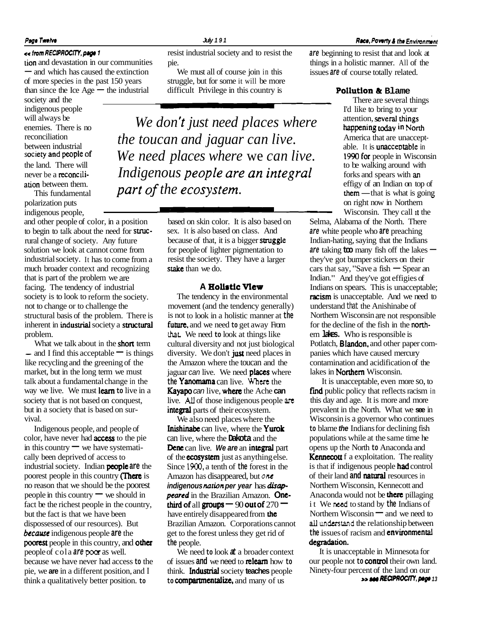tion and devastation in our communities pie. things in a holistic manner. All of the and which has caused the extinction We must all of course join in this issues **are** of course totally related.

will always be enemies. There is no reconciliation between industrial<br>society and people of

polarization puts indigenous people,

and other people of color, in a position to begin to talk about the need for strucrural change of society. Any future solution we look at cannot come from industrial society. It has to come from a much broader context and recognizing that is part of the problem we are facing. The tendency of industrial society is to look to reform the society. not to change or to challenge the structural basis of the problem. There is inherent in industrial society a structural problem.

What we talk about in the **short** term  $-$  and I find this acceptable  $-$  is things like recycling and the greening of the market, but in the long term we must talk about a fundamental change in the way we live. We must learn **to** live in a society that is not based on conquest, but in a society that is based on survival.

Indigenous people, and people of color, have never had **access** to the pie Indigenous people, and people of<br>color, have never had **access** to the pi<br>in this country  $\rightarrow$  we have systemati-<br>alle have density of access to cally been deprived of access to industrial society. Indian peaple **are** the poorest people in this country **(There** is no reason that we should be the poorest people in this country  $\equiv$  we should in fact be the richest people in the country, but the fact is that we have been dispossessed of our resources). But **became** indigenous people **are** the **poorest** people in this country, and **other** people of cola **are poor** as well. because we have never had access **to** the pie, we **are** in a different position, and I think a qualitatively better position. **to** 

**cc fmm RECIPROCITY, pap 1** resist industrial society and to resist the **are** beginning to resist that and look at

of more species in the past 150 years struggle, but for some it will be more than since the Ice  $Age$  – the industrial difficult Privilege in this country is - and which has caused the extinction<br>of more species in the past 150 years struggle, but for some it will be more<br>than since the Ice Age - the industrial difficult Privilege in this country is **Pollution & Blame** 

*We don't just need places where* attention, several things **don't** *just need places where* **b**, nappleming today in North *the toucan and jaguar can live.* society and people of *We need places where* we *can live*.  $\frac{1990}{1990}$  for people in Wisconsin the land. There will the land. There will<br>
never be a reconcili-<br> **Indigenous people are an integral** to be walking around with<br>
to be walking around with<br>
forks and spears with an<br>
forks and spears with an<br>
effigy of an Indian on top of<br>
them ation between them.<br>
This fundamental **part of the ecosystem.**<br>  $\blacksquare$  examples them  $\blacksquare$  that is what is going

> based on skin color. It is also based on sex. It is also based on class. And because of that, it is a bigger struggle for people of lighter pigmentation to resist the society. They have a larger stake than we do.

#### **A Holiatic View**

The tendency in the environmental movement (and the tendency generally) is not to look in a holistic manner at **the**  future, and we need to get away From **that.** We need **to** look at things like cultural diversity and not just biological diversity. We don't just need places in the Amazon where the toucan and the jaguar can live. We need **places** where the Yanomama can live. Where the **Kayapo** can live, where the Ache can live. *All* of those indigenous people **arc**  integral parts of their ecosystem.

We also need places where the Inishinabe can live, where the Yurok can live, where the **Dakota** and the Dene can live. **We are** an integral part of the **ecosystem** just as anything else. Since **1900.** a tenth of **the** forest in the Amazon has disappeared, but **one indigenous nation per year has disappeared** in the Brazilian Amazon. **One**third of all groups  $-$  90 out of 270  $$ have entirely disappeared from **the** Brazilian Amazon. Corporations cannot get to the forest unless they get rid of **the** people.

We need **to** look **at** a broader context of issues **and** we need to relearn how **to**  think. **Industrial** society **teaches** people to **compartmentalize**, and many of us

Extreme beginning to resist that and look in and devastation in our communities in this issues **are** of course totally related.

society and the multiple content of the There are several things indigenous people There are several things indigenous people I'd like to bring to your America that are unacceptable. It is **unacceptable** in  $them$ — that is what is going  $e.$  able.<br>  $l$  to be to be to be forks a effigy<br>  $l$  to be forks a effigy<br>
them on rig<br>  $\overline{\phantom{a}}$  wiscoments on right now in Northern Wisconsin. They call it the

Selma, Alabama of the North. There **are** white people who **are** preaching are while people who are preaching<br>Indian-hating, saying that the Indians<br>are taking **too** many fish off the lakes – they've got bumper stickers on their are taking  $\text{to}$  many fish off the lakes —<br>they've got bumper stickers on their<br>cars that say, "Save a fish — Spear an Indian." And they've got effigies of Indians on spears. This is unacceptable; racism is unacceptable. And we need to understand that the Anishinabe of Northern Wisconsin are not responsible for the decline of the fish in the northem **lakes.** Who is responsible is Potlatch, **Blandon**, and other paper companies which have caused mercury contamination and acidification of the lakes in Northern Wisconsin.

It is unacceptable, even more so, to find public policy that reflects racism in this day and age. It is more and more prevalent in the North. What we **see** in Wisconsin is a governor who continues **to** blame **the** Indians for declining fish populations while at the same time he opens up the North **to** Anaconda and **Kennecou** f a exploitation. The reality is that if indigenous people had control of their land **and natural** resources in Northern Wisconsin, Kennecott and Anaconda would not be **there** pillaging it We **nced** to stand by **the** Indians of Anaconda would not be **there** pillaging<br>it We need to stand by the Indians of<br>Northern Wisconsin — and we need to<br>all underwise the unlating high hattern **all undastand** the relationship between **the** issues of racism and environmental degradation.

It is unacceptable in Minnesota for our people not **to** control their own land. Ninety-four percent of the land on our **www.RECIPROCITY, page 13** 

## **Page Twelve Race, Poverty & the Environment July 191 Conviction Converts Associated Acce, Poverty & the Environment**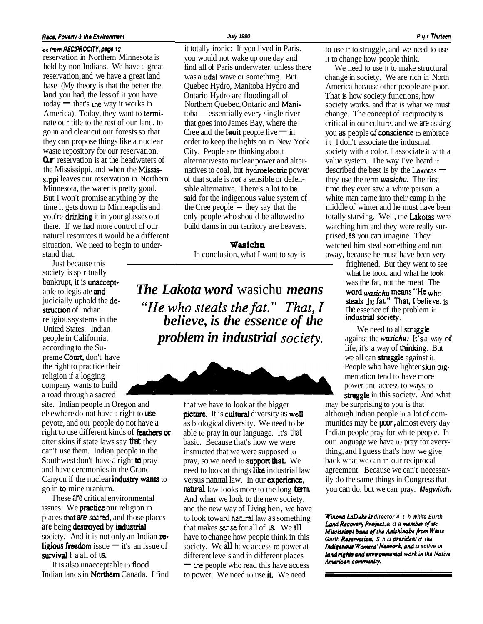#### **Race, Poverty & the Environment**

**ee lrom RECIPROCITY, 12**  reservation in Northern Minnesota is held by non-Indians. We have a great reservation, and we have a great land base (My theory is that the better the land you had, the less of it you have  $today$  - that's the way it works in America). Today, they want to terminate our title to the rest of our land, to go in and clear cut our forests so that they can propose things like a nuclear waste repository for our reservation. **Our** reservation is at the headwaters of the Mississippi. and when the Mississippi leaves our reservation in Northern Minnesota, the water is pretty good. But I won't promise anything by the time it gets down to Minneapolis and you're drinking it in your glasses out there. If we had more control of our natural resources it would be a different situation. We need to begin to understand that.

Just because this society is spiritually religious systems in the

site. Indian people in Oregon and elsewhere do not have a right to **use**  peyote, and our people do not have a right to use different kinds of feathas **or**  otter skins if state laws say that they can't use them. Indian people in the Southwest don't have a right **to** pray and have ceremonies in the Grand Canyon if the nuclear industry wants to go in **to** mine uranium.

These **are** critical environmental issues. We **practice** our religion in places **that are sacred,** and those places **are** being destroyed by industrial society. And it is not only an Indian  $\mathbf{r}$ . ligious freedom issue  $-$  it's an issue of survival f a all of **us.** 

It is also unacceptable to flood Indian lands in **Northern** Canada. I find it totally ironic: If you lived in Paris. to use it to struggle, and we need to use you would not wake up one day and it to change how people think. you would not wake up one day and find all of Paris underwater, unless there We need to use it to make structural was a **tidal** wave or something. But change in society. We are rich in North was a **tidal** wave or something. But change in society. We are rich in North Quebec Hydro, Manitoba Hydro and America because other people are poor. Ontario Hydro are flooding all of That is how society functions, how toba — essentially every single river change. The concept of reciprocity is that goes into James Bay, where the critical in our culture, and we are asking toba — essentially every single river<br>that goes into James Bay, where the<br>Cree and the **Inuit** people live — in you **as** people of **conscience** to embrace<br>conscience to embrace order to keep the lights on in New York it I don't associate the indusmal of that scale is **not** a sensible or defen- they use the term **wasichu.** The first said for the indigenous value system of white man came into their camp in the

bankrupt, it is unaccept-<br>able to legislate and *The Lakota word* wasichu *means* word wasichu <sup>means</sup> "He who judicially uphold the de-  $\degree$  *"He who steals the fat."*  $That, I$  steals the fat." That, I believe, is struction of Indian  $\degree$ religious systems in the *believe, is the essence of the industrial society.*<br>United States. Indian *believe, is the essence of the We need to all* people in California, *problem in industrial society* against the **wasichu**: It's a way of according to the Su-

> that we have to look at the bigger picture. It is cultural diversity as weli as biological diversity. We need to be able to pray in our language. It's that basic. Because that's how we were instructed that we were supposed to pray, so we need to **support that.** We need to look at things like industrial law versus natural law. In our experience, **natural** law looks more to the long **term.**  And when we look to the new society, and the new way of Living hen, we have to look toward **natural** law as something that makes **sense** for all of **us.** We **all**  have to change how peopie think in this society. We **all** have access to power at different levels and in different places - **the** people who read this have access to power. We need to use it. We need

America because other people are poor. Northern Quebec, Ontario and Mani-<br>society works. and that is what we must that goes into James Bay, where the critical in our culture. and we are asking City. People are thinking about society with a color. I associate it with a Lity. Feople are unliking about<br>
alternatives to nuclear power and alter-<br>
natives to coal, but hydroelectric power<br>
described the best is by the Lakotas –<br>
described the best is by the Lakotas – time they ever saw a white person. a shows a ternative. There s a lot to **be**<br>said for the indigenous value system of white man came into their camp in the<br>the Cree people — they say that the middle of winter and he must have been only people who should be allowed to totally starving. Well, the Lakotas were build dams in our territory are beavers. watching him and they were really surprised, **as** you can imagine. They **Wasichu** watched him steal something and run In conclusion, what I want to say is away, because he must have been very

frightened. But they went to see what he took. and what he **took** 

We need to all struggle life, it's a way of **thinking**. But preme Court, don't have all can struggle against it. the right to practice their People who have lighter skin pigreligion if a logging mentation tend to have more company wants to build power and access to ways to a road through a sacred struggle in this society. And what

may be surprising to you is that although Indian people in a lot of communities may be **poor,** almost every day Indian people pray for white people. In our language we have to pray for everything, and I guess that's how we give back what we can in our reciprocal agreement. Because we can't necessarily do the same things in Congress that you can do. but we can pray. **Megwitch.** 

**Winona LaDuke is director 4 th White Eurth** Lord **Recmety RO~CI. ad a***wmhr* **of tk**  *Mininippi* &mi *qftk* **Ankhimbrfrom Whirc**  Garth Reservation. S h u president of the Indigenous Womens' Network, and **u** active in land rights and environmental work in the Native *American* **camuuriy.**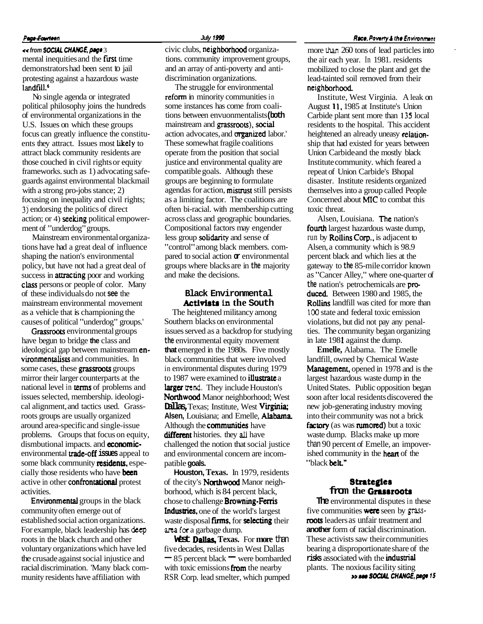#### Page-Fourteen

*ss* from SOCIAL CHANGE, page 3 mental inequities and the first time demonstrators had been sent to jail protesting against a hazardous waste landfill.<sup>6</sup>

No single agenda or integrated political philosophy joins the hundreds of environmental organizations in the U.S. Issues on which these groups focus can greatly influence the constituents they attract. Issues most likely to attract black community residents are those couched in civil rights or equity frameworks. such as 1) advocating safeguards against environmental blackmail with a strong pro-jobs stance; 2) focusing on inequality and civil rights; **3)** endorsing the politics of direct action; or  $4$ ) seeking political empowerment of "underdog" groups.

Mainstream environmental organizations have had a great deal of influence shaping the nation's environmental policy, but have not had a great deal of success in **attracting** poor and working class persons or people of color. Many of these individuals do not **see** the mainstream environmental movement as a vehicle that is championing the causes of political "underdog" groups.'

Grassroots environmental groups have begun to bridge **the** class and ideological gap between mainstream environmentalists and communities. In some cases, these grassroots groups mirror their larger counterparts at the national level in terns of problems and issues selected, membership. ideological alignment, and tactics used. Grassroots groups are usually organized around area-specific and single-issue problems. Groups that focus on equity, dismbutional impacts. and **economic**environmental uade-off **issues** appeal to some black community **residents**, especially those residents who have **been** active in other confrontational protest activities.

Environmental groups in the black community often emerge out of established social action organizations. For example, black leadership has **deep**  roots in the black church and other voluntary organizations which have led the crusade against social injustice and racial discrimination. 'Many black community residents have affiliation with

civic clubs, neighbothood organizations. community improvement groups, and an array of anti-poverty and antidiscrimination organizations.

The struggle for environmental refom in minority communities in some instances has come from coalitions between envuonmentalists **(both**  mainstream and grassroots), social action advocates, and **organized** labor.' These somewhat fragile coalitions operate from the position that social justice and environmental quality are compatible goals. Although these groups are beginning to formulate agendas for action, mistrust still persists as a limiting factor. The coalitions are often bi-racial. with membership cutting across class and geographic boundaries. Compositional factors may engender less group solidanty and sense of "control" among black members. compared to social action **or** environmental groups where blacks are in **the** majority and make the decisions.

#### **Black Environmental Activirts in the South**

The heightened militancy among Southern blacks on environmental issues served as a backdrop for studying **the** environmental equity movement **that** emerged in the 1980s. Five mostly black communities that were involved in environmental disputes during 1979 to 1987 were examined to **illustrate** a larger **trend.** They include Houston's Northwood Manor neighborhood; West **Dallas,** Texas; Institute, West Virginia; **Alsen,** Louisiana; and Emelle, Alabama Although the **communities** have different histories. they **all** have challenged the notion that social justice and environmental concern are incompatible **goals.** 

**Houston, Texas.** In 1979, residents of the city's **Northwood** Manor neighborhood, which is 84 percent black, chose to challenge **Browning-Ferris** Industries, one of the world's largest waste disposal firms, for selecting their **area fa** a garbage dump.

**West Dallas, Texas.** For **more** than five decades, residents in West Dallas - 85 percent black - were bombarded with toxic emissions from the nearby RSR Corp. lead smelter, which pumped

more than 260 tons of lead particles into the air each year. In 1981. residents mobilized to close the plant and get the lead-tainted soil removed from their neighborhood

Institute, West Virginia. A leak on August 11, 1985 at Institute's Union Carbide plant sent more than 135 local residents to the hospital. This accident heightened an already uneasy relationship that had existed for years between Union Carbide and the mostly black Institute community. which feared a repeat of Union Carbide's Bhopal disaster. Institute residents organized themselves into a group called People Concerned about **MIC** to combat this toxic threat.

Alsen, Louisiana. The nation's fourth largest hazardous waste dump. run by Rollins Corp.. is adjacent to Alsen, a community which is 98.9 percent black and which lies at the gateway to **the** 85-mile corridor known as "Cancer Alley," where one-quarter of **the** nation's petrochemicals are pm duced. Between 1980 and 1985, the Rollins landfill was cited for more than 100 state and federal toxic emission violations, but did not pay any penalties. The community began organizing in late 1981 against the dump.

**Emelle,** Alabama. The Emelle landfill, owned by Chemical Waste Management, opened in 1978 and is the largest hazardous waste dump in the United States. Public opposition began soon after local residents discovered the new job-generating industry moving into their community was not a brick factory (as was rumored) but a toxic waste dump. Blacks make up more than 90 percent of Emelle, an impoverished community in the **heart** of the "black belt."

## **Stmtegier from the Grassroots**

**The** environmental disputes in these five communities **were** seen by grassroots leaders as unfair treatment and **another** form of racial discrimination. These activists saw their communities bearing a disproportionate share of the risks associated with the industrial plants. The noxious facility siting **ss rw SOCUL CHAUGE, p@ 15**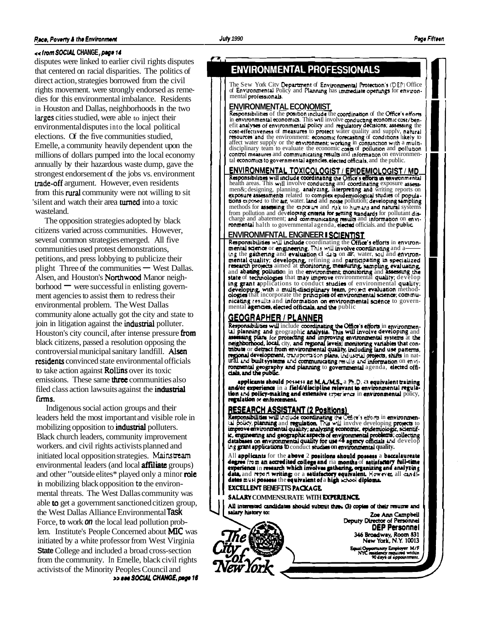**n** 

#### **Race, Poverty & the Environment**

#### $\epsilon$ < from SOCIAL CHANGE, page 14

disputes were linked to earlier civil rights disputes that centered on racial disparities. The politics of direct action, strategies borrowed from the civil rights movement. were strongly endorsed as remedies for this environmental imbalance. Residents in Houston and Dallas, neighborhoods in the two larges cities studied, were able to inject their environmental disputes into the local political elections. Of the five communities studied, Emelle, a community heavily dependent upon the millions of dollars pumped into the local economy annually by their hazardous waste dump, gave the strongest endorsement of the jobs vs. environment uade-off argument. However, even residents from this **rural** community were not willing to sit 'silent and watch their area turned into a toxic wasteland.

The opposition strategies adopted by black citizens varied across communities. However, several common strategies emerged. All five communities used protest demonstrations, petitions, and press lobbying to publicize their plight Three of the communities  $-$  West Dallas. Alsen, and Houston's Northwood Manor neighplight Three of the communities — West Dalla<br>Alsen, and Houston's **Northwood** Manor neigh-<br>borhood — were successful in enlisting government agencies to assist them to redress their environmental problem. The West Dallas community alone actually got the city and state to join in litigation against the industrial polluter. Houston's city council, after intense pressure  $from$ black citizens, passed a resolution opposing the controversial municipal sanitary landfill. Alsen residents convinced state environmental officials to take action against Rollins over its toxic emissions. These same **three** communities also filed class action lawsuits against the industrial firms.

Indigenous social action groups and their leaders held the most important and visible role in mobilizing opposition to **industrial** polluters. Black church leaders, community improvement workers. and civil rights activists planned and initiated local opposition strategies. **Mainstream**  environmental leaders (and local **affiliate** groups) and other "outside elites\* played only a minor **role** in mobilizing black opposition **to** the environmental threats. The West Dallas community was able to get a government sanctioned citizen group, the West Dallas Alliance Environmental **Task**  Force, **to** work **on** the local lead pollution problem. Institute's People Concerned about MIC was initiated by a white professor from West Virginia **State** College and included a broad cross-section from the community. In Emelle, black civil rights activists of the Minority Peoples Council and **33 800 SOCIAL CHANGE, page 16** 

The Sew York Citv Depamnent of Envvonmcntd hotcctron's **(DEP)** Office **Page Fifteen**<br> **ENVIRONMENTAL PROFESSIONALS**<br>
The Sew York City Department of Environmental Protection's (DEP) Office<br>
of Environmental Policy and Plannung has immediate openings for environ-<br> **ENVIRONMENTAL ECONOMIST**<br>

#### **ENVIRONMENTAL ECONOMIST**

Responsibilities of the position include the coordination of the Office's efforts in environmental economics. This will involve conducting economic cost/ben-<br>effit analyses of environmental policy and regulatory decisions; assessing the<br>cost-effectiveness of measures to protect water quality and supply, affect water supply or the environment; working in conjunction with a multi-<br>disciplinary team to evaluate the economic costs of pollution and pollution<br>control measures and communicating results and information on environ

Responsibilities will include coordinating the Office's efforts in environmental health areas. This will involve conducting and coordinating exposure assessmeno; designing, planning. analyzing reports on up a section and writing reports of popula-<br>tions exposed to the air, water. land and noise pollution; developing vampling methods for asming the **apaum** and **risk** to **humans** and namnl systems from pollution and developing enteria for serting standards for pollutant discharge and abatement; and communicating results and information on environmental halth to governmental agenda, elected officials, and the public.

methods for **assessing** the expensive and risk to humans and natural systems<br>from pollution and developing criteria for setting standards for pollutiant dis-<br>charge and abatement; and communicating results and information ologies that incorporate the principles of environmental science; commu-<br>nicating results and information on environmental science to govern-<br>mental agencies, elected officials, and the public<br>**AEAABALLED, ANALLED** ing grant applications to conduct studies of environmental quality;<br>developing, with a multi-disciplinary team, project evaluation method-<br>ologies that incorporate the principles of environmental science; commution is crossed to the air, water land and moise political). Severing the principal singling more experimental and the boundary and natural systems change and absentent and commutating entities and the public change and ab

Responsibilities will include coordinating the Office's efforts in environmental planning and geographic analysis. This will involve developing and  $\vert$ <br>assessing plans for protecting and improving environmental systems at nental agencies, elected oricials, and the public<br>
GEOGRAPHER / PLANNER<br>
Responsibilities will include coordinating the Office's efforts in environmental<br>
all planning and geographic analysis. This will involve developing mend development, transportation plans, industrial projects, shifts in nat-<br>ural and built systems and communicating results and information on envirow and the public systems and communicating results and information on environmental geography and planning to governmental agenda, elected offi-<br>
claim and the public.<br> **I, and the public state of the activities** of  $M$ 

and the structure of the structure of the structure of the structure of the structure and/or experience in a field/discipline relevant to environmental regulation and policy. regulation or enforcement.

Responsibilities will include coordinating the Office's efforts in environmental policy, planning and regulation. This will involve developing projects to improve environmental quality; analyzing economic, epidemiologic, s ic, engineering and geographic aspects of environmental problems; collecting databases on environmental quality for use  $\overline{\mathbf{4}}$  agency officials and develop ing grant applications to conduct studies on environmental qu

All applicants for the above 2 positions should possess a baccalaureate All applicants for the above 2 positions should possess a baccalaureate<br>degree from an accredited college and ria months of satisfactory full-time<br>experience in research which involves gathering urganizing and analyzing<br>d

#### **EXCELLENT BENEFITS PACKAGE SALARY COMMENSURATE WITH EXPERIENCE**

w York

All interested candidates should submit three (3) copies of their resume and salary history to: Zoe Ann Campbell



**I**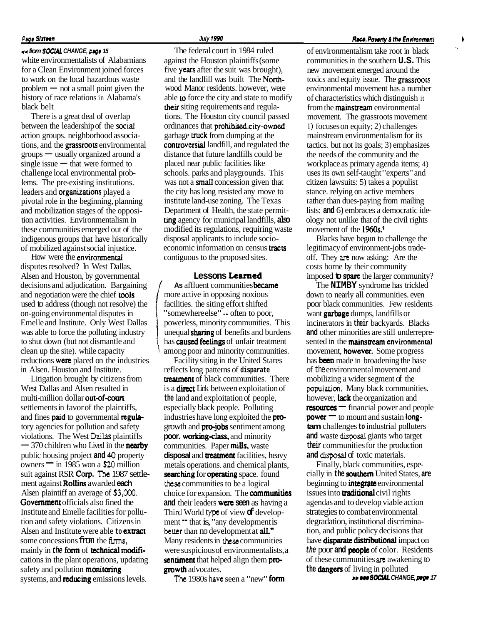#### **Page Sixteen**

#### ,<< **from SOCUL CHANGE, prgr 15**

white environmentalists of Alabamians for a Clean Environment joined forces to work on the local hazardous waste  $problem$   $-$  not a small point given the history of race relations in Alabama's black belt

There is a great deal of overlap between the leadership of the social action groups. neighborhood associations, and the grassroots environmental action groups. neighborhood associa-<br>tions, and the **grassroots** environmenta<br>groups — usually organized around a tions, and the **grassroots** environme<br>groups — usually organized around<br>single issue — that were formed to challenge local environmental problems. The pre-existing institutions. leaders and organizations played a pivotal role in the beginning, planning and mobilization stages of the opposition activities. Environmentalism in these communities emerged out of the indigenous groups that have historically of mobilized against social injustice.

How were the environmental disputes resolved? In West Dallas. Alsen and Houston, by governmental decisions and adjudication. Bargaining and negotiation were the chief tools used to address (though not resolve) the on-going environmental disputes in Emelle and Institute. Only West Dallas was able to force the polluting industry to shut down (but not dismantle and clean up the site). while capacity reductions were placed on the industries in Alsen. Houston and Institute.

Litigation brought by citizens from West Dallas and Alsen resulted in multi-million dollar out-of-court settlements in favor of the plaintiffs, and fines paid to governmental regulatory agencies for pollution and safety violations. The West **Dallas** plaintiffs tory agencies for pollution and safety<br>violations. The West Dallas plaintiffs<br> $-$  370 children who Lived in the **nearby** public housing project **and 40** property - 370 children who Lived in the **nearby**<br>public housing project and 40 property<br>owners - in 1985 won a \$20 million suit against RSR Corp. **The** 1987 settle- ment against Rollins awarded **each**  Alsen plaintiff an average of **\$3,000.**  Government officials also fined the Institute and Emelle facilities for pollution and safety violations. Citizens in Alsen and Institute were able **to** extract some concessions from the firms. mainly in the **form** of **technical modifi**cations in the plant operations, updating safety and pollution **monitoring** systems, and **reducing** emissions levels.

The federal court in 1984 ruled against the Houston plaintiffs (some five years after the suit was brought), and the landfill was built The Northwood Manor residents. however, were able **to** force the city and state to modify their siting requirements and regulations. The Houston city council passed ordinances that prohibited city-owned garbage truck from dumping at the controversial landfill, and regulated the distance that future landfills could be placed near public facilities like schools. parks and playgrounds. This was not a **small** concession given that the city has long resisted any move to institute land-use zoning. The Texas Department of Health, the state permitting agency for municipal landfills, **also**  modified its regulations, requiring waste disposal applicants to include socioeconomic information on census **tracts** contiguous to the proposed sites.

#### **Lessons Learned**

**As** affluent communities **became**<br>more active in opposing noxious<br>facilities. the siting effort shifted<br>"somewhere else"  $\cdot$  often to poor,<br>nowerless. minority communities. T facilities. the siting effort shifted "somewhere else" -- often to poor, powerless, minority communities. This unequal **sharing** of benefits and burdens has **caused feelings** of unfair treatment **'1** among poor and minority communities.

Facility siting in the United Stares reflects long patterns of **disparate**  treatment of black communities. There is a **direct** Link between exploitation of **the** land and exploitation of people, especially black people. Polluting industries have long exploited the **pro**growth and **pro-jobs** sentiment among poor. working-class, and minority communities. Paper mills, waste disposal and **treatment** facilities, heavy metals operations. and chemical plants, searching for operating space. found **these** communities to be a logical choice for expansion. The **communities and** their leaders **were** seen as having a Third World **type** of view **of** development  $\blacksquare$  that is, "any development is **better** than no development at **all.**" Many residents in **these** communities were suspicious of environmentalists, a sentiment that helped align them progrowth advocates.

**The 1980s have seen a "new" form** 

#### **Race, Poverty & the Environment**

., of environmentalism take root in black communities in the southern **U.S.** This new movement emerged around the toxics and equity issue. The grassroots environmental movement has a number of characteristics which distinguish it from the **mainstream** environmental movement. The grassroots movement <sup>1</sup>) focuses on equity; 2) challenges mainstream environmentalism for its tactics. but not its goals; 3) emphasizes the needs of the community and the workplace as primary agenda items; 4) uses its own self-taught "experts" and citizen lawsuits: 5) takes a populist stance. relying on active members rather than dues-paying from mailing lists: **and** 6) embraces a democratic ideology not unlike that of the civil rights movement of the 1960s.<sup>9</sup>

Blacks have begun to challenge the legitimacy of environment-jobs tradeoff. They are now asking: Are the costs borne by their community imposed **to spare** the larger community?

The **NIMBY** syndrome has trickled down to nearly all communities. even poor black communities. Few residents want garbage dumps, landfills or incinerators in **their** backyards. Blacks **and** other minorities are still underrepresented in the **mainstream** environmental movement, **however.** Some progress has been made in broadening the base of the environmental movement and mobilizing a wider segment of the **population.** Many black communities. however, lack the organization and population. Many black communities.<br>however, **lack** the organization and<br>**resources** — financial power and people however, **lack** the organization and<br>**resources**  $\equiv$  financial power and pec<br>**power**  $\equiv$  to mount and sustain **longtam** challenges **to** industrial polluters **and** waste disposal giants who target **their** communities for the production and disposal of toxic materials.

Finally, black communities, especially in **the southern** United States, **are**  beginning to **integrate** environmental issues into **traditional** civil rights agendas and to develop viable action strategies to combat environmental degradation, institutional discrimination, and public policy decisions that have **disparate distributional** impact on the poor and **people** of color. Residents of these communities are awakening to the **dangers** of living in polluted **w social CHANGE**, prgs 17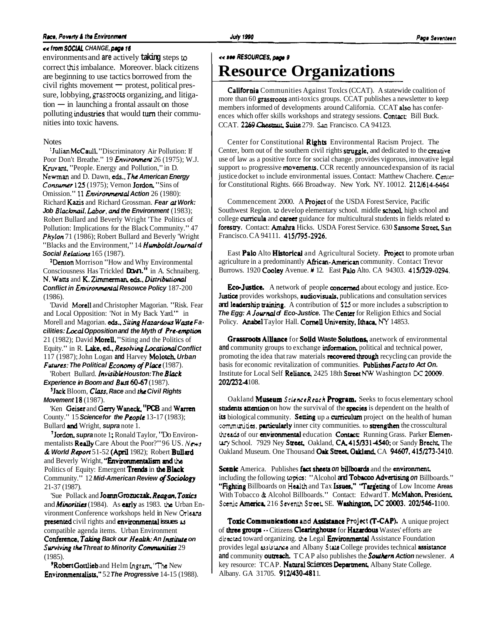#### **Race, Poverty & the Environment**

#### << **from SOCUL CHANGE, page 16**

environments and **are** actively **taking** steps **to**  correct this imbalance. Moreover. black citizens are beginning to use tactics borrowed from the  $\dot{c}$ ivil rights movement  $-$  protest, political pressure, lobbying, grassroots organizing, and litigacivil rights movement  $-$  protest, political pressure, lobbying, grassroots organizing, and litig<br>tion  $-$  in launching a frontal assault on those polluting industries that would turn their communities into toxic havens.

#### **Notes**

' Julian McCaull. "Discriminatory Air Pollution: If Poor Don't Breathe." 19 **Envirorunent** 26 (1975); W.J. Kruvant, "People. Energy and Pollution," in D. Newman and D. Dawn, eds., The American Energy **Consumer 125** (1975); Vernon **Jordon**, "Sins of Omission." 11 *Environmental Action* 26 (1980): Richard Kazis and Richard Grossman. **Fear at Work: Job Blacknail, Lubw, and the Environment** (1983); Robert Bullard and Beverly Wright 'The Politics of Pollution: Implications for the Black Community." 47 **Phylon** 71 (1986); Robert Bullard and Beverly 'Wright "Blacks and the Environment," 14 **Humboldt Journal of Social Relations** 165 (1987).

**Portion** Morrison "How and Why Environmental Consciousness Has Trickled **Down."** in A. Schnaiberg. N. Watts and K. Zimmerman, eds., Distributional **Conflict in Envirownental Resowce Policy** 187-200 (1986).

'David Morell and Christopher Magorian. "Risk. Fear and Local Opposition: 'Not in My Back Yard."' in Morell and Magorian. eds., Siting Hazardous Waste Facilities: Local Opposition and the Myth of Pre-emption 21 (1982); David **Morell**, "Siting and the Politics of Equity." in R. Lake, ed., Resolving Locational Conflict 1 17 (1987); John Logan **and** Harvey Molotch **Urban Futures: The Political Economy of Place** (1987).

'Robert Bullard. **Invisible Houston: The Black Experience in Boom and Bust 60-67** (1987).

'Jack Bloom, **Class, Race** and **the Civil Rights Movement 18** (1987).

'Ken Geiser and Gary Waneck. **"PCB** and Warren County." 15 **Science for the People** 13-17 (1983); Bullard **and** Wright, **supra** note 1.

<sup>7</sup>Jordon, supranote 1; Ronald Taylor, "Do Environmentalists Really Care About the Poor?" 96 US. *News*  & World Report 51-52 (April 1982); Robert Bullard and Beverly Wright, "**Environmentalism and the** Politics of Equity: Emergent **Trends** in the **Black** Community." 12 **Mid-American Review** *@Sociology*  21-37 (1987).

'Sue Pollack and Joann Grozuczak, Reagan, Toxics and **Minorities** (1984). As **urly** as 1983. **thc** Urban Environment Conference workshops held in New Orleans presented civil rights and mvironmmtal **issues u**  compatible agenda items. Urban Environment Conference. **Tab'ng Back our Health: An Institute on Surviving the Threat to Minority Communities** 29 (1985).

9Robert Gottlieb and Helm **Ingram,** 'Thc New Environmentalisrs." 52 **The Progressive** 14-15 (1988).

California Communities Against Toxlcs (CCAT). A statewide coalition of more than 60 grassroots anti-toxics groups. CCAT publishes a newsletter to keep members informed of developments around California. CCAT also has conferences which offer skills workshops and strategy sessions. Contact: Bill Buck. CCAT. 2269 *Ckmut* **Suit.=** 279. **San** Francisco. CA 94 123.

Center for Constitutional Rights Environmental Racism Project. The Center, born out of the southern civil rights struggle, and dedicated to the creative use of law as a positive force for social change. provides vigorous, innovative legal support to progressive **movements.** CCR recently announced expansion of its racial justice docket to include environmental issues. Contact: Matthew Chachere. Centerfor Constitutional Rights. 666 Broadway. New York. NY. 10012. 21216 14-6463

Commencement 2000. A Project of the USDA Forest Service, Pacific Southwest Region. **to** develop elementary school. middle school. high school and college curricula and career guidance for multicultural students in fields related to forestry. Contact: Amahra Hicks. USDA Forest Service. 630 Sansome Street. San Francisco. CA 94111. 415/795-2926.

East Palo Alto Historical and Agricultural Society. Project to promote urban agriculture in a predominantly **African-American** community. Contact Trevor Burrows. 1920 Cooley Avenue. **#** 12. East Palo Alto. CA 94303. 415/329-0294.

**Eco-Justice.** A network of people **concerned** about ecology and justice. Eco-Justice provides workshops, audiovisuals, publications and consultation services and leadership training. A contribution of \$25 or more includes a subscription to **The Egg: A Journal of Eco-Justice.** The Center for Religion Ethics and Social Policy. Anabel Taylor Hall. Cornell University. Ithaca, **NY** 14853.

Grassroots Alliance for Solid Waste Solutions, anetwork of environmental and community groups to exchange information, political and technical power, promoting the idea that raw materials recovered through recycling can provide the basis for economic revitalization of communities. Publishes Facts to Act On. Institute for Local Self Reliance, 2425 18th Street NW Washington DC 20009. 202J2324 108.

Oakland **Museum** *ScienceReach* Program. Seeks to focus elementary school students attention on how the survival of the species is dependent on the health of its biological community. Setting up a curriculum project on the health of human communities, **particularly** inner city communities. to **strengthen** the crosscultural threads of our environmental education Contact: Running Grass. Parker Elemen-Lary School. 7929 Ney Street, Oakland, CA, 415/331 4540; or Sandy Brecht, The Oakland Museum. One Thousand Oak Street, Oakland, CA 94607, 415/273-3410.

Scenic America. Publishes fact sheets on billboards and the environment, including the following **topics:** "Alcohol **and** Tobacco Advextising **on** Billboards." "Fighting Billboards on Health and Tax Issues." "Targeting of Low Income Areas With Tobacco & Alcohol Billboards." Contact: Edward T. McMahon. President. Scenic **America**, 216 Seventh Street, SE. Washington, DC 20003. 202/546-1100.

Toxic Communications and Assistance Project (T-CAP). A unique project of **three groups**  $\cdot$  Citizens **Clearinghouse** for **Hazardous** Wastes' efforts are directed toward organizing. the Legal **Environmental** Assistance Foundation provides legal **assistance** and Albany **SW** College provides technical assisrance **and** community outreach. TCAP also publishes the **Southern Action** newslener. **A**  key resource: TCAP. Natural Sciences Department, Albany State College. Albany. GA 31705. 912/430-4811.